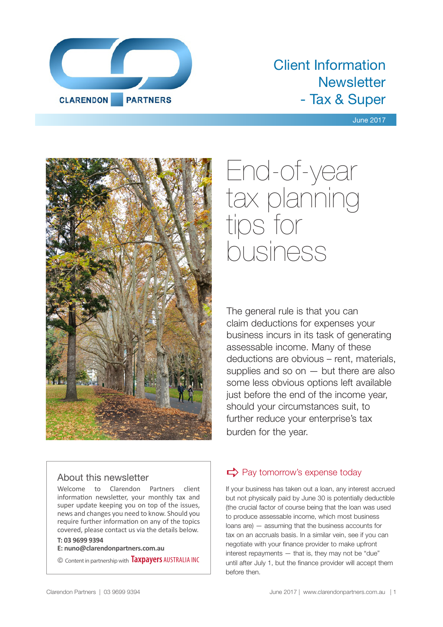

# Client Information **Newsletter** - Tax & Super

#### June 2017



# End-of-year tax planning tips for business

The general rule is that you can claim deductions for expenses your business incurs in its task of generating assessable income. Many of these deductions are obvious – rent, materials, supplies and so on  $-$  but there are also some less obvious options left available just before the end of the income year, should your circumstances suit, to further reduce your enterprise's tax burden for the year.

## About this newsletter

Welcome to Clarendon Partners client information newsletter, your monthly tax and super update keeping you on top of the issues, news and changes you need to know. Should you require further information on any of the topics covered, please contact us via the details below.

#### **T: 03 9699 9394**

**E: nuno@clarendonpartners.com.au**

© Content in partnership with **Taxpayers** AUSTRALIA INC

# $\Rightarrow$  Pay tomorrow's expense today

If your business has taken out a loan, any interest accrued but not physically paid by June 30 is potentially deductible (the crucial factor of course being that the loan was used to produce assessable income, which most business loans are) — assuming that the business accounts for tax on an accruals basis. In a similar vein, see if you can negotiate with your finance provider to make upfront interest repayments — that is, they may not be "due" until after July 1, but the finance provider will accept them before then.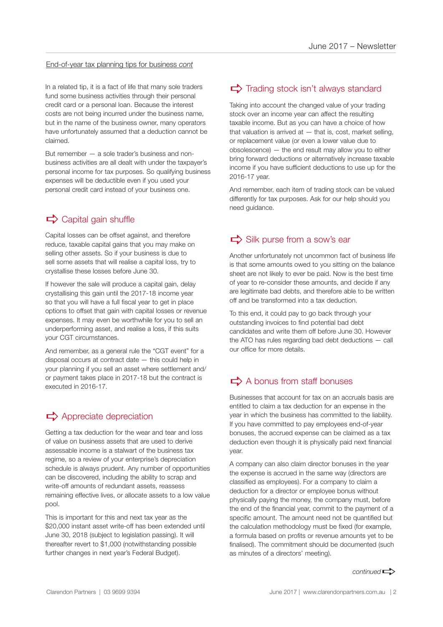#### End-of-year tax planning tips for business *cont*

In a related tip, it is a fact of life that many sole traders fund some business activities through their personal credit card or a personal loan. Because the interest costs are not being incurred under the business name, but in the name of the business owner, many operators have unfortunately assumed that a deduction cannot be claimed.

But remember — a sole trader's business and nonbusiness activities are all dealt with under the taxpayer's personal income for tax purposes. So qualifying business expenses will be deductible even if you used your personal credit card instead of your business one.

# $\Rightarrow$  Capital gain shuffle

Capital losses can be offset against, and therefore reduce, taxable capital gains that you may make on selling other assets. So if your business is due to sell some assets that will realise a capital loss, try to crystallise these losses before June 30.

If however the sale will produce a capital gain, delay crystallising this gain until the 2017-18 income year so that you will have a full fiscal year to get in place options to offset that gain with capital losses or revenue expenses. It may even be worthwhile for you to sell an underperforming asset, and realise a loss, if this suits your CGT circumstances.

And remember, as a general rule the "CGT event" for a disposal occurs at contract date — this could help in your planning if you sell an asset where settlement and/ or payment takes place in 2017-18 but the contract is executed in 2016-17.

## $\Rightarrow$  Appreciate depreciation

Getting a tax deduction for the wear and tear and loss of value on business assets that are used to derive assessable income is a stalwart of the business tax regime, so a review of your enterprise's depreciation schedule is always prudent. Any number of opportunities can be discovered, including the ability to scrap and write-off amounts of redundant assets, reassess remaining effective lives, or allocate assets to a low value pool.

This is important for this and next tax year as the \$20,000 instant asset write-off has been extended until June 30, 2018 (subject to legislation passing). It will thereafter revert to \$1,000 (notwithstanding possible further changes in next year's Federal Budget).

# $\Rightarrow$  Trading stock isn't always standard

Taking into account the changed value of your trading stock over an income year can affect the resulting taxable income. But as you can have a choice of how that valuation is arrived at  $-$  that is, cost, market selling, or replacement value (or even a lower value due to obsolescence) — the end result may allow you to either bring forward deductions or alternatively increase taxable income if you have sufficient deductions to use up for the 2016-17 year.

And remember, each item of trading stock can be valued differently for tax purposes. Ask for our help should you need guidance.

# $\Rightarrow$  Silk purse from a sow's ear

Another unfortunately not uncommon fact of business life is that some amounts owed to you sitting on the balance sheet are not likely to ever be paid. Now is the best time of year to re-consider these amounts, and decide if any are legitimate bad debts, and therefore able to be written off and be transformed into a tax deduction.

To this end, it could pay to go back through your outstanding invoices to find potential bad debt candidates and write them off before June 30. However the ATO has rules regarding bad debt deductions — call our office for more details.

# $\Rightarrow$  A bonus from staff bonuses

Businesses that account for tax on an accruals basis are entitled to claim a tax deduction for an expense in the year in which the business has committed to the liability. If you have committed to pay employees end-of-year bonuses, the accrued expense can be claimed as a tax deduction even though it is physically paid next financial year.

A company can also claim director bonuses in the year the expense is accrued in the same way (directors are classified as employees). For a company to claim a deduction for a director or employee bonus without physically paying the money, the company must, before the end of the financial year, commit to the payment of a specific amount. The amount need not be quantified but the calculation methodology must be fixed (for example, a formula based on profits or revenue amounts yet to be finalised). The commitment should be documented (such as minutes of a directors' meeting).

*continued*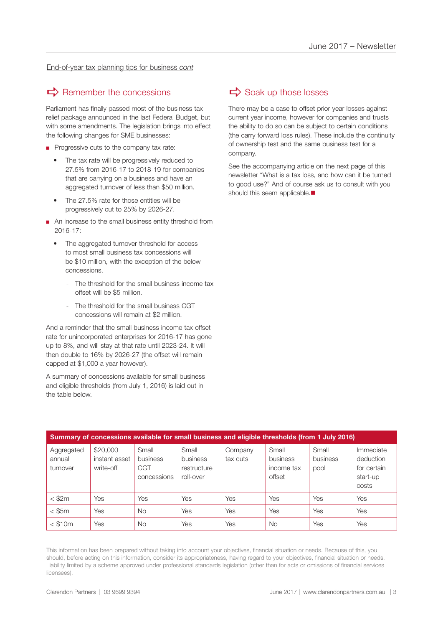End-of-year tax planning tips for business *cont*

## $\Rightarrow$  Remember the concessions

Parliament has finally passed most of the business tax relief package announced in the last Federal Budget, but with some amendments. The legislation brings into effect the following changes for SME businesses:

- Progressive cuts to the company tax rate:
	- The tax rate will be progressively reduced to 27.5% from 2016-17 to 2018-19 for companies that are carrying on a business and have an aggregated turnover of less than \$50 million.
	- The 27.5% rate for those entities will be progressively cut to 25% by 2026-27.
- An increase to the small business entity threshold from 2016-17:
	- The aggregated turnover threshold for access to most small business tax concessions will be \$10 million, with the exception of the below concessions.
		- The threshold for the small business income tax offset will be \$5 million.
		- The threshold for the small business CGT concessions will remain at \$2 million.

And a reminder that the small business income tax offset rate for unincorporated enterprises for 2016-17 has gone up to 8%, and will stay at that rate until 2023-24. It will then double to 16% by 2026-27 (the offset will remain capped at \$1,000 a year however).

A summary of concessions available for small business and eligible thresholds (from July 1, 2016) is laid out in the table below.

# $\Rightarrow$  Soak up those losses

There may be a case to offset prior year losses against current year income, however for companies and trusts the ability to do so can be subject to certain conditions (the carry forward loss rules). These include the continuity of ownership test and the same business test for a company.

See the accompanying article on the next page of this newsletter "What is a tax loss, and how can it be turned to good use?" And of course ask us to consult with you should this seem applicable.

| Summary of concessions available for small business and eligible thresholds (from 1 July 2016) |                                        |                                         |                                               |                     |                                           |                           |                                                            |
|------------------------------------------------------------------------------------------------|----------------------------------------|-----------------------------------------|-----------------------------------------------|---------------------|-------------------------------------------|---------------------------|------------------------------------------------------------|
| Aggregated<br>annual<br>turnover                                                               | \$20,000<br>instant asset<br>write-off | Small<br>business<br>CGT<br>concessions | Small<br>business<br>restructure<br>roll-over | Company<br>tax cuts | Small<br>business<br>income tax<br>offset | Small<br>business<br>pool | Immediate<br>deduction<br>for certain<br>start-up<br>costs |
| $<$ \$2 $m$                                                                                    | Yes                                    | Yes                                     | Yes                                           | Yes                 | Yes                                       | Yes                       | Yes                                                        |
| $<$ \$5 $m$                                                                                    | Yes                                    | No.                                     | Yes                                           | Yes                 | Yes                                       | Yes                       | Yes                                                        |
| $<$ \$10 $m$                                                                                   | Yes                                    | <b>No</b>                               | Yes                                           | Yes                 | <b>No</b>                                 | Yes                       | Yes                                                        |

This information has been prepared without taking into account your objectives, financial situation or needs. Because of this, you should, before acting on this information, consider its appropriateness, having regard to your objectives, financial situation or needs. Liability limited by a scheme approved under professional standards legislation (other than for acts or omissions of financial services licensees).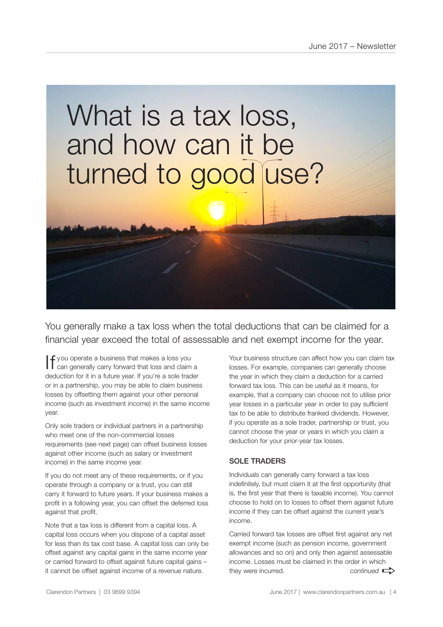# What is a tax loss, and how can it be turned to good use?

You generally make a tax loss when the total deductions that can be claimed for a financial year exceed the total of assessable and net exempt income for the year.

If you operate a business that makes a loss you can generally carry forward that loss and claim a deduction for it in a future year. If you're a sole trader or in a partnership, you may be able to claim business losses by offsetting them against your other personal income (such as investment income) in the same income year.

Only sole traders or individual partners in a partnership who meet one of the non-commercial losses requirements (see next page) can offset business losses against other income (such as salary or investment income) in the same income year.

If you do not meet any of these requirements, or if you operate through a company or a trust, you can still carry it forward to future years. If your business makes a profit in a following year, you can offset the deferred loss against that profit.

Note that a tax loss is different from a capital loss. A capital loss occurs when you dispose of a capital asset for less than its tax cost base. A capital loss can only be offset against any capital gains in the same income year or carried forward to offset against future capital gains – it cannot be offset against income of a revenue nature.

Your business structure can affect how you can claim tax losses. For example, companies can generally choose the year in which they claim a deduction for a carried forward tax loss. This can be useful as it means, for example, that a company can choose not to utilise prior year losses in a particular year in order to pay sufficient tax to be able to distribute franked dividends. However, if you operate as a sole trader, partnership or trust, you cannot choose the year or years in which you claim a deduction for your prior-year tax losses.

#### SOLE TRADERS

Individuals can generally carry forward a tax loss indefinitely, but must claim it at the first opportunity (that is, the first year that there is taxable income). You cannot choose to hold on to losses to offset them against future income if they can be offset against the current year's income.

Carried forward tax losses are offset first against any net exempt income (such as pension income, government allowances and so on) and only then against assessable income. Losses must be claimed in the order in which they were incurred.  $control \implies$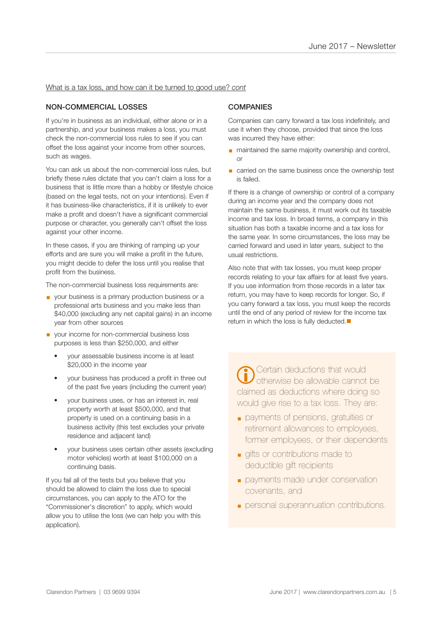#### What is a tax loss, and how can it be turned to good use? *cont*

#### NON-COMMERCIAL LOSSES

If you're in business as an individual, either alone or in a partnership, and your business makes a loss, you must check the non-commercial loss rules to see if you can offset the loss against your income from other sources, such as wages.

You can ask us about the non-commercial loss rules, but briefly these rules dictate that you can't claim a loss for a business that is little more than a hobby or lifestyle choice (based on the legal tests, not on your intentions). Even if it has business-like characteristics, if it is unlikely to ever make a profit and doesn't have a significant commercial purpose or character, you generally can't offset the loss against your other income.

In these cases, if you are thinking of ramping up your efforts and are sure you will make a profit in the future, you might decide to defer the loss until you realise that profit from the business.

The non-commercial business loss requirements are:

- your business is a primary production business or a professional arts business and you make less than \$40,000 (excluding any net capital gains) in an income year from other sources
- your income for non-commercial business loss purposes is less than \$250,000, and either
	- your assessable business income is at least \$20,000 in the income year
	- your business has produced a profit in three out of the past five years (including the current year)
	- your business uses, or has an interest in, real property worth at least \$500,000, and that property is used on a continuing basis in a business activity (this test excludes your private residence and adjacent land)
	- your business uses certain other assets (excluding motor vehicles) worth at least \$100,000 on a continuing basis.

If you fail all of the tests but you believe that you should be allowed to claim the loss due to special circumstances, you can apply to the ATO for the "Commissioner's discretion" to apply, which would allow you to utilise the loss (we can help you with this application).

#### **COMPANIES**

Companies can carry forward a tax loss indefinitely, and use it when they choose, provided that since the loss was incurred they have either:

- maintained the same majority ownership and control, or
- carried on the same business once the ownership test is failed.

If there is a change of ownership or control of a company during an income year and the company does not maintain the same business, it must work out its taxable income and tax loss. In broad terms, a company in this situation has both a taxable income and a tax loss for the same year. In some circumstances, the loss may be carried forward and used in later years, subject to the usual restrictions.

Also note that with tax losses, you must keep proper records relating to your tax affairs for at least five years. If you use information from those records in a later tax return, you may have to keep records for longer. So, if you carry forward a tax loss, you must keep the records until the end of any period of review for the income tax return in which the loss is fully deducted. $\blacksquare$ 

Certain deductions that would otherwise be allowable cannot be claimed as deductions where doing so would give rise to a tax loss. They are:  $\overline{a}$ 

- payments of pensions, gratuities or retirement allowances to employees, former employees, or their dependents
- gifts or contributions made to deductible gift recipients
- **payments made under conservation** covenants, and
- personal superannuation contributions.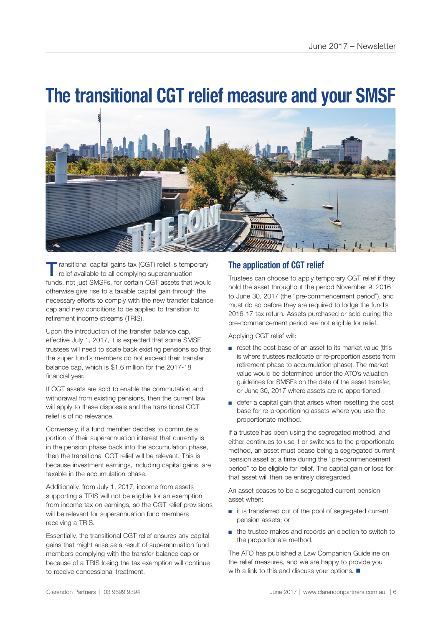# **The transitional CGT relief measure and your SMSF**



ransitional capital gains tax (CGT) relief is temporary relief available to all complying superannuation funds, not just SMSFs, for certain CGT assets that would otherwise give rise to a taxable capital gain through the necessary efforts to comply with the new transfer balance cap and new conditions to be applied to transition to retirement income streams (TRIS).

Upon the introduction of the transfer balance cap, effective July 1, 2017, it is expected that some SMSF trustees will need to scale back existing pensions so that the super fund's members do not exceed their transfer balance cap, which is \$1.6 million for the 2017-18 financial year.

If CGT assets are sold to enable the commutation and withdrawal from existing pensions, then the current law will apply to these disposals and the transitional CGT relief is of no relevance.

Conversely, if a fund member decides to commute a portion of their superannuation interest that currently is in the pension phase back into the accumulation phase, then the transitional CGT relief will be relevant. This is because investment earnings, including capital gains, are taxable in the accumulation phase.

Additionally, from July 1, 2017, income from assets supporting a TRIS will not be eligible for an exemption from income tax on earnings, so the CGT relief provisions will be relevant for superannuation fund members receiving a TRIS.

Essentially, the transitional CGT relief ensures any capital gains that might arise as a result of superannuation fund members complying with the transfer balance cap or because of a TRIS losing the tax exemption will continue to receive concessional treatment.

### **The application of CGT relief**

Trustees can choose to apply temporary CGT relief if they hold the asset throughout the period November 9, 2016 to June 30, 2017 (the "pre-commencement period"), and must do so before they are required to lodge the fund's 2016-17 tax return. Assets purchased or sold during the pre-commencement period are not eligible for relief.

Applying CGT relief will:

- reset the cost base of an asset to its market value (this is where trustees reallocate or re-proportion assets from retirement phase to accumulation phase). The market value would be determined under the ATO's valuation guidelines for SMSFs on the date of the asset transfer, or June 30, 2017 where assets are re-apportioned
- defer a capital gain that arises when resetting the cost base for re-proportioning assets where you use the proportionate method.

If a trustee has been using the segregated method, and either continues to use it or switches to the proportionate method, an asset must cease being a segregated current pension asset at a time during the "pre-commencement period" to be eligible for relief. The capital gain or loss for that asset will then be entirely disregarded.

An asset ceases to be a segregated current pension asset when:

- it is transferred out of the pool of segregated current pension assets; or
- the trustee makes and records an election to switch to the proportionate method.

The ATO has published a Law Companion Guideline on the relief measures, and we are happy to provide you with a link to this and discuss your options.  $\blacksquare$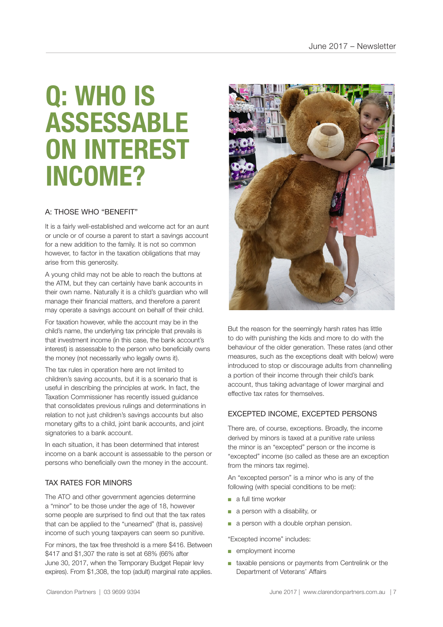# **Q: WHO IS ASSESSABLE ON INTEREST INCOME?**

#### A: THOSE WHO "BENEFIT"

It is a fairly well-established and welcome act for an aunt or uncle or of course a parent to start a savings account for a new addition to the family. It is not so common however, to factor in the taxation obligations that may arise from this generosity.

A young child may not be able to reach the buttons at the ATM, but they can certainly have bank accounts in their own name. Naturally it is a child's guardian who will manage their financial matters, and therefore a parent may operate a savings account on behalf of their child.

For taxation however, while the account may be in the child's name, the underlying tax principle that prevails is that investment income (in this case, the bank account's interest) is assessable to the person who beneficially owns the money (not necessarily who legally owns it).

The tax rules in operation here are not limited to children's saving accounts, but it is a scenario that is useful in describing the principles at work. In fact, the Taxation Commissioner has recently issued guidance that consolidates previous rulings and determinations in relation to not just children's savings accounts but also monetary gifts to a child, joint bank accounts, and joint signatories to a bank account.

In each situation, it has been determined that interest income on a bank account is assessable to the person or persons who beneficially own the money in the account.

#### TAX RATES FOR MINORS

The ATO and other government agencies determine a "minor" to be those under the age of 18, however some people are surprised to find out that the tax rates that can be applied to the "unearned" (that is, passive) income of such young taxpayers can seem so punitive.

For minors, the tax free threshold is a mere \$416. Between \$417 and \$1,307 the rate is set at 68% (66% after June 30, 2017, when the Temporary Budget Repair levy expires). From \$1,308, the top (adult) marginal rate applies.



But the reason for the seemingly harsh rates has little to do with punishing the kids and more to do with the behaviour of the older generation. These rates (and other measures, such as the exceptions dealt with below) were introduced to stop or discourage adults from channelling a portion of their income through their child's bank account, thus taking advantage of lower marginal and effective tax rates for themselves.

#### EXCEPTED INCOME, EXCEPTED PERSONS

There are, of course, exceptions. Broadly, the income derived by minors is taxed at a punitive rate unless the minor is an "excepted" person or the income is "excepted" income (so called as these are an exception from the minors tax regime).

An "excepted person" is a minor who is any of the following (with special conditions to be met):

- a full time worker
- a person with a disability, or
- a person with a double orphan pension.

"Excepted income" includes:

- employment income
- taxable pensions or payments from Centrelink or the Department of Veterans' Affairs